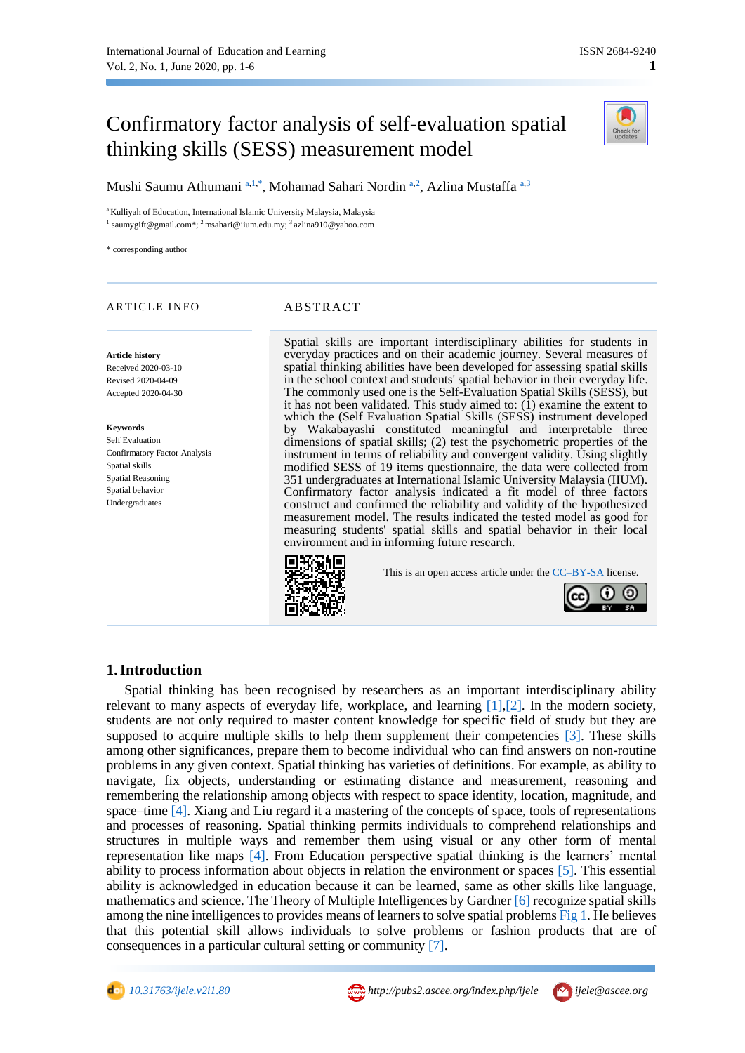# Confirmatory factor analysis of self-evaluation spatial thinking skills (SESS) measurement model



Mushi Saumu Athumani <sup>[a,](#page-0-0)[1,](#page-0-1)[\\*](#page-0-2)</sup>, Mohamad Sahari Nordin <sup>a,[2](#page-0-3)</sup>, Azlina Mustaffa <sup>a,[3](#page-0-4)</sup>

<span id="page-0-3"></span><span id="page-0-1"></span><span id="page-0-0"></span><sup>a</sup> Kulliyah of Education, International Islamic University Malaysia, Malaysia <sup>1</sup> saumygift@gmail.com\*; <sup>2</sup> msahari@iium.edu.my; <sup>3</sup> [azlina910@yahoo.com](mailto:azlina910@yahoo.com)

<span id="page-0-2"></span>\* corresponding author

## ARTICLE INFO ABSTRACT

#### **Article history**

Received 2020-03-10 Revised 2020-04-09 Accepted 2020-04-30

#### **Keywords**

Self Evaluation Confirmatory Factor Analysis Spatial skills Spatial Reasoning Spatial behavior Undergraduates

<span id="page-0-4"></span>Spatial skills are important interdisciplinary abilities for students in everyday practices and on their academic journey. Several measures of spatial thinking abilities have been developed for assessing spatial skills in the school context and students' spatial behavior in their everyday life. The commonly used one is the Self-Evaluation Spatial Skills (SESS), but it has not been validated. This study aimed to: (1) examine the extent to which the (Self Evaluation Spatial Skills (SESS) instrument developed by Wakabayashi constituted meaningful and interpretable three dimensions of spatial skills; (2) test the psychometric properties of the instrument in terms of reliability and convergent validity. Using slightly modified SESS of 19 items questionnaire, the data were collected from 351 undergraduates at International Islamic University Malaysia (IIUM). Confirmatory factor analysis indicated a fit model of three factors construct and confirmed the reliability and validity of the hypothesized measurement model. The results indicated the tested model as good for measuring students' spatial skills and spatial behavior in their local environment and in informing future research.



This is an open access article under th[e CC–BY-SA](http://creativecommons.org/licenses/by-sa/4.0/) license.



### **1.Introduction**

Spatial thinking has been recognised by researchers as an important interdisciplinary ability relevant to many aspects of everyday life, workplace, and learning  $[1],[2]$ . In the modern society, students are not only required to master content knowledge for specific field of study but they are supposed to acquire multiple skills to help them supplement their competencies [\[3\].](#page-4-2) These skills among other significances, prepare them to become individual who can find answers on non-routine problems in any given context. Spatial thinking has varieties of definitions. For example, as ability to navigate, fix objects, understanding or estimating distance and measurement, reasoning and remembering the relationship among objects with respect to space identity, location, magnitude, and space–tim[e \[4\].](#page-5-0) Xiang and Liu regard it a mastering of the concepts of space, tools of representations and processes of reasoning. Spatial thinking permits individuals to comprehend relationships and structures in multiple ways and remember them using visual or any other form of mental representation like maps [\[4\].](#page-5-0) From Education perspective spatial thinking is the learners' mental ability to process information about objects in relation the environment or spaces [\[5\].](#page-5-1) This essential ability is acknowledged in education because it can be learned, same as other skills like language, mathematics and science. The Theory of Multiple Intelligences by Gardner [\[6\]](#page-5-2) recognize spatial skills among the nine intelligences to provides means of learners to solve spatial problems [Fig 1.](#page-1-0) He believes that this potential skill allows individuals to solve problems or fashion products that are of consequences in a particular cultural setting or community [\[7\].](#page-5-3)

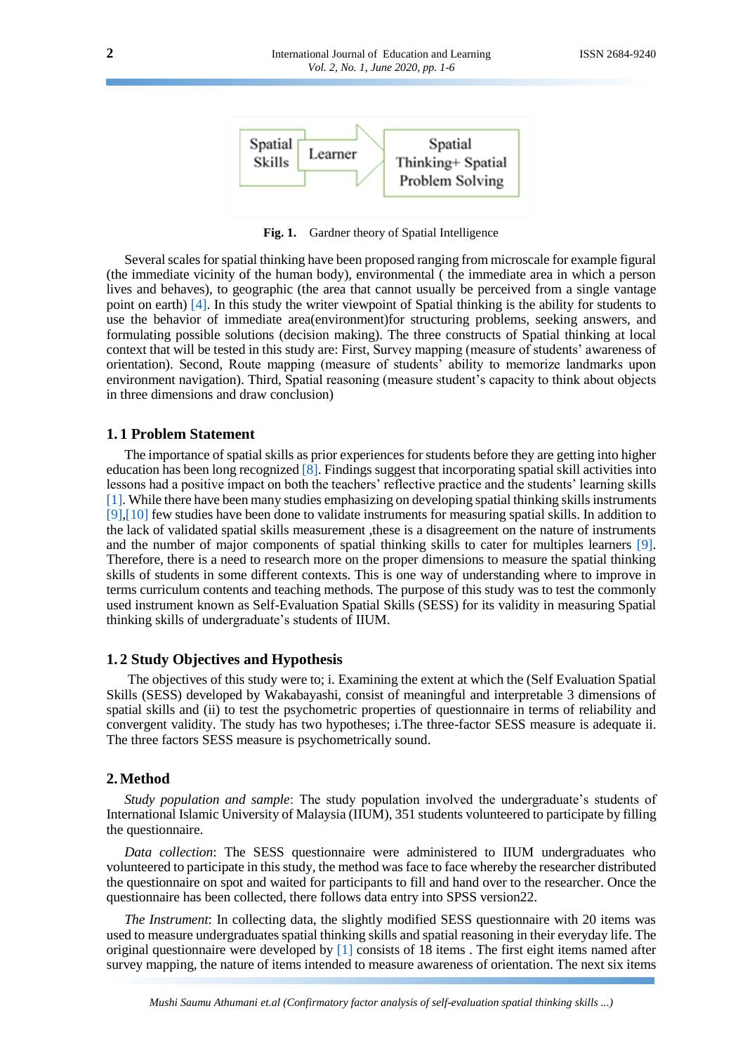<span id="page-1-0"></span>

**Fig. 1.** Gardner theory of Spatial Intelligence

Several scales for spatial thinking have been proposed ranging from microscale for example figural (the immediate vicinity of the human body), environmental ( the immediate area in which a person lives and behaves), to geographic (the area that cannot usually be perceived from a single vantage point on earth) [\[4\].](#page-5-0) In this study the writer viewpoint of Spatial thinking is the ability for students to use the behavior of immediate area(environment)for structuring problems, seeking answers, and formulating possible solutions (decision making). The three constructs of Spatial thinking at local context that will be tested in this study are: First, Survey mapping (measure of students' awareness of orientation). Second, Route mapping (measure of students' ability to memorize landmarks upon environment navigation). Third, Spatial reasoning (measure student's capacity to think about objects in three dimensions and draw conclusion)

#### **1. 1 Problem Statement**

The importance of spatial skills as prior experiences for students before they are getting into higher education has been long recognized [\[8\].](#page-5-4) Findings suggest that incorporating spatial skill activities into lessons had a positive impact on both the teachers' reflective practice and the students' learning skills [\[1\].](#page-4-0) While there have been many studies emphasizing on developing spatial thinking skills instruments [\[9\]](#page-5-5)[,\[10\]](#page-5-6) few studies have been done to validate instruments for measuring spatial skills. In addition to the lack of validated spatial skills measurement ,these is a disagreement on the nature of instruments and the number of major components of spatial thinking skills to cater for multiples learners [\[9\].](#page-5-5) Therefore, there is a need to research more on the proper dimensions to measure the spatial thinking skills of students in some different contexts. This is one way of understanding where to improve in terms curriculum contents and teaching methods. The purpose of this study was to test the commonly used instrument known as Self-Evaluation Spatial Skills (SESS) for its validity in measuring Spatial thinking skills of undergraduate's students of IIUM.

#### **1. 2 Study Objectives and Hypothesis**

The objectives of this study were to; i. Examining the extent at which the (Self Evaluation Spatial Skills (SESS) developed by Wakabayashi, consist of meaningful and interpretable 3 dimensions of spatial skills and (ii) to test the psychometric properties of questionnaire in terms of reliability and convergent validity. The study has two hypotheses; i.The three-factor SESS measure is adequate ii. The three factors SESS measure is psychometrically sound.

#### **2.Method**

*Study population and sample*: The study population involved the undergraduate's students of International Islamic University of Malaysia (IIUM), 351 students volunteered to participate by filling the questionnaire.

*Data collection*: The SESS questionnaire were administered to IIUM undergraduates who volunteered to participate in this study, the method was face to face whereby the researcher distributed the questionnaire on spot and waited for participants to fill and hand over to the researcher. Once the questionnaire has been collected, there follows data entry into SPSS version22.

*The Instrument*: In collecting data, the slightly modified SESS questionnaire with 20 items was used to measure undergraduates spatial thinking skills and spatial reasoning in their everyday life. The original questionnaire were developed by [\[1\]](#page-4-0) consists of 18 items . The first eight items named after survey mapping, the nature of items intended to measure awareness of orientation. The next six items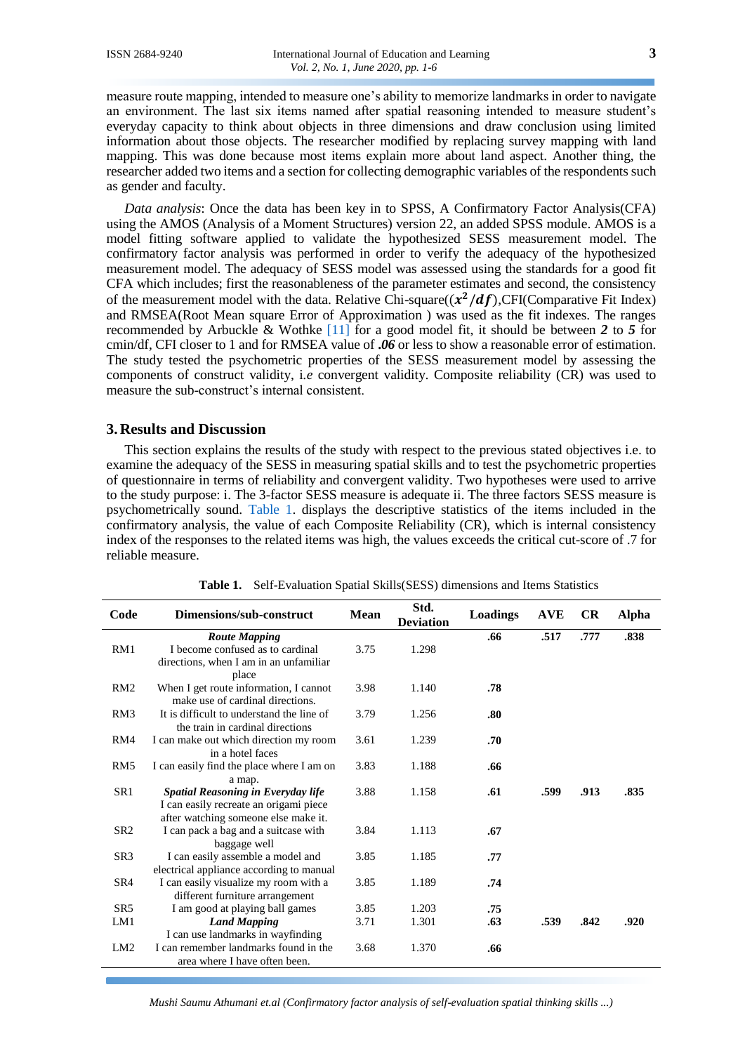measure route mapping, intended to measure one's ability to memorize landmarks in order to navigate an environment. The last six items named after spatial reasoning intended to measure student's everyday capacity to think about objects in three dimensions and draw conclusion using limited information about those objects. The researcher modified by replacing survey mapping with land mapping. This was done because most items explain more about land aspect. Another thing, the researcher added two items and a section for collecting demographic variables of the respondents such as gender and faculty.

*Data analysis*: Once the data has been key in to SPSS, A Confirmatory Factor Analysis(CFA) using the AMOS (Analysis of a Moment Structures) version 22, an added SPSS module. AMOS is a model fitting software applied to validate the hypothesized SESS measurement model. The confirmatory factor analysis was performed in order to verify the adequacy of the hypothesized measurement model. The adequacy of SESS model was assessed using the standards for a good fit CFA which includes; first the reasonableness of the parameter estimates and second, the consistency of the measurement model with the data. Relative Chi-square $((x^2/df)$ ,CFI(Comparative Fit Index) and RMSEA(Root Mean square Error of Approximation ) was used as the fit indexes. The ranges recommended by Arbuckle & Wothke [\[11\]](#page-5-7) for a good model fit, it should be between *2* to *5* for cmin/df, CFI closer to 1 and for RMSEA value of **.***06* or less to show a reasonable error of estimation. The study tested the psychometric properties of the SESS measurement model by assessing the components of construct validity, i*.e* convergent validity. Composite reliability (CR) was used to measure the sub-construct's internal consistent.

#### **3. Results and Discussion**

This section explains the results of the study with respect to the previous stated objectives i.e. to examine the adequacy of the SESS in measuring spatial skills and to test the psychometric properties of questionnaire in terms of reliability and convergent validity. Two hypotheses were used to arrive to the study purpose: i. The 3-factor SESS measure is adequate ii. The three factors SESS measure is psychometrically sound. [Table 1.](#page-2-0) displays the descriptive statistics of the items included in the confirmatory analysis, the value of each Composite Reliability (CR), which is internal consistency index of the responses to the related items was high, the values exceeds the critical cut-score of .7 for reliable measure.

<span id="page-2-0"></span>

| Code            | Dimensions/sub-construct                                                       | Mean | Std.<br><b>Deviation</b> | Loadings | <b>AVE</b> | <b>CR</b> | <b>Alpha</b> |
|-----------------|--------------------------------------------------------------------------------|------|--------------------------|----------|------------|-----------|--------------|
|                 | <b>Route Mapping</b>                                                           |      |                          | .66      | .517       | .777      | .838         |
| RM1             | I become confused as to cardinal                                               | 3.75 | 1.298                    |          |            |           |              |
|                 | directions, when I am in an unfamiliar<br>place                                |      |                          |          |            |           |              |
| RM2             | When I get route information, I cannot<br>make use of cardinal directions.     | 3.98 | 1.140                    | .78      |            |           |              |
| RM3             | It is difficult to understand the line of<br>the train in cardinal directions  | 3.79 | 1.256                    | .80      |            |           |              |
| RM4             | I can make out which direction my room<br>in a hotel faces                     | 3.61 | 1.239                    | .70      |            |           |              |
| RM <sub>5</sub> | I can easily find the place where I am on                                      | 3.83 | 1.188                    | .66      |            |           |              |
|                 | a map.                                                                         |      |                          |          |            |           |              |
| SR1             | <b>Spatial Reasoning in Everyday life</b>                                      | 3.88 | 1.158                    | .61      | .599       | .913      | .835         |
|                 | I can easily recreate an origami piece<br>after watching someone else make it. |      |                          |          |            |           |              |
| SR <sub>2</sub> | I can pack a bag and a suitcase with                                           | 3.84 | 1.113                    | .67      |            |           |              |
|                 | baggage well                                                                   |      |                          |          |            |           |              |
| SR <sub>3</sub> | I can easily assemble a model and                                              | 3.85 | 1.185                    | .77      |            |           |              |
|                 | electrical appliance according to manual                                       |      |                          |          |            |           |              |
| SR <sub>4</sub> | I can easily visualize my room with a<br>different furniture arrangement       | 3.85 | 1.189                    | .74      |            |           |              |
| SR <sub>5</sub> | I am good at playing ball games                                                | 3.85 | 1.203                    | .75      |            |           |              |
| LM1             | <b>Land Mapping</b>                                                            | 3.71 | 1.301                    | .63      | .539       | .842      | .920         |
|                 | I can use landmarks in wayfinding                                              |      |                          |          |            |           |              |
| LM2             | I can remember landmarks found in the<br>area where I have often been.         | 3.68 | 1.370                    | .66      |            |           |              |

**Table 1.** Self-Evaluation Spatial Skills(SESS) dimensions and Items Statistics

*Mushi Saumu Athumani et.al (Confirmatory factor analysis of self-evaluation spatial thinking skills ...)*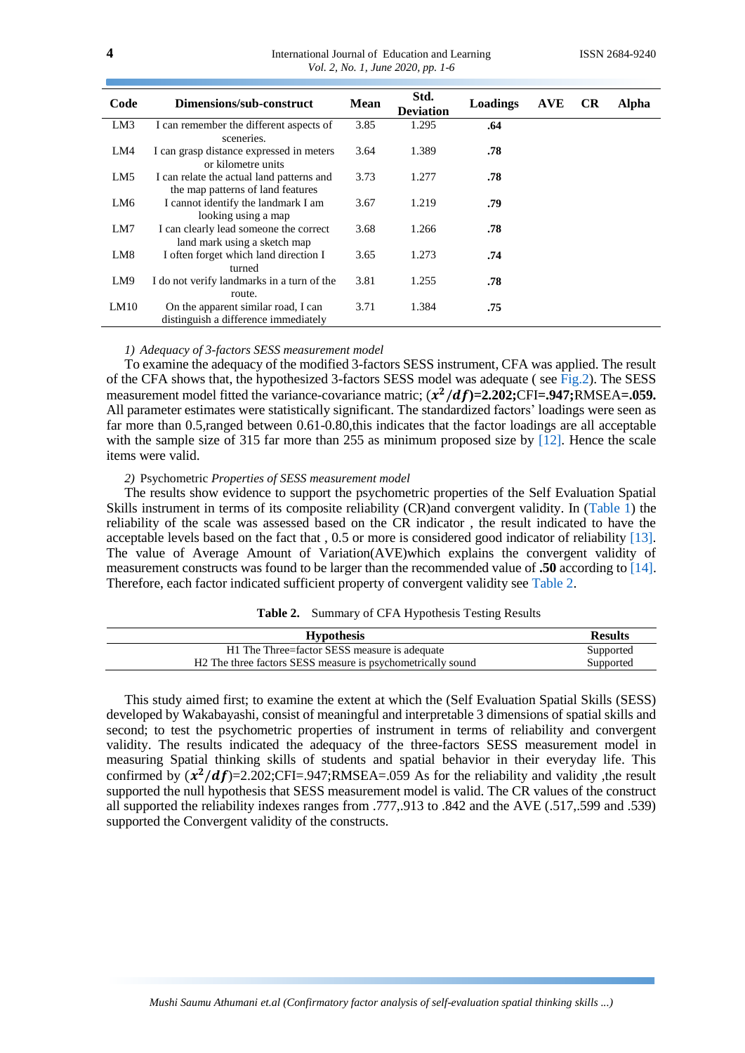| International Journal of Education and Learning |  |  |
|-------------------------------------------------|--|--|
| Vol. 2, No. 1, June 2020, pp. 1-6               |  |  |

| Code | Dimensions/sub-construct                                                       | <b>Mean</b> | Std.<br><b>Deviation</b> | Loadings | <b>AVE</b> | <b>CR</b> | Alpha |
|------|--------------------------------------------------------------------------------|-------------|--------------------------|----------|------------|-----------|-------|
| LM3  | I can remember the different aspects of<br>sceneries.                          | 3.85        | 1.295                    | .64      |            |           |       |
| LM4  | I can grasp distance expressed in meters<br>or kilometre units                 | 3.64        | 1.389                    | .78      |            |           |       |
| LM5  | I can relate the actual land patterns and<br>the map patterns of land features | 3.73        | 1.277                    | .78      |            |           |       |
| LM6  | I cannot identify the landmark I am<br>looking using a map                     | 3.67        | 1.219                    | .79      |            |           |       |
| LM7  | I can clearly lead someone the correct<br>land mark using a sketch map         | 3.68        | 1.266                    | .78      |            |           |       |
| LM8  | I often forget which land direction I<br>turned                                | 3.65        | 1.273                    | .74      |            |           |       |
| LM9  | I do not verify landmarks in a turn of the<br>route.                           | 3.81        | 1.255                    | .78      |            |           |       |
| LM10 | On the apparent similar road, I can<br>distinguish a difference immediately    | 3.71        | 1.384                    | .75      |            |           |       |

#### *1) Adequacy of 3-factors SESS measurement model*

To examine the adequacy of the modified 3-factors SESS instrument, CFA was applied. The result of the CFA shows that, the hypothesized 3-factors SESS model was adequate ( see [Fig.2\)](#page-4-3). The SESS measurement model fitted the variance-covariance matric;  $(x^2/df)$ =2.202;CFI=.947;RMSEA=.059. All parameter estimates were statistically significant. The standardized factors' loadings were seen as far more than 0.5,ranged between 0.61-0.80,this indicates that the factor loadings are all acceptable with the sample size of 315 far more than 255 as minimum proposed size by [\[12\].](#page-5-8) Hence the scale items were valid.

#### *2)* Psychometric *Properties of SESS measurement model*

The results show evidence to support the psychometric properties of the Self Evaluation Spatial Skills instrument in terms of its composite reliability (CR)and convergent validity. In [\(Table 1\)](#page-2-0) the reliability of the scale was assessed based on the CR indicator , the result indicated to have the acceptable levels based on the fact that , 0.5 or more is considered good indicator of reliability [\[13\].](#page-5-9) The value of Average Amount of Variation(AVE)which explains the convergent validity of measurement constructs was found to be larger than the recommended value of **.50** according t[o \[14\].](#page-5-10) Therefore, each factor indicated sufficient property of convergent validity see [Table 2.](#page-3-0)

# **Table 2.** Summary of CFA Hypothesis Testing Results

<span id="page-3-0"></span>

| <b>Results</b> |  |  |
|----------------|--|--|
| Supported      |  |  |
| Supported      |  |  |
|                |  |  |

This study aimed first; to examine the extent at which the (Self Evaluation Spatial Skills (SESS) developed by Wakabayashi, consist of meaningful and interpretable 3 dimensions of spatial skills and second; to test the psychometric properties of instrument in terms of reliability and convergent validity. The results indicated the adequacy of the three-factors SESS measurement model in measuring Spatial thinking skills of students and spatial behavior in their everyday life. This confirmed by  $(x^2/df)$ =2.202;CFI=.947;RMSEA=.059 As for the reliability and validity, the result supported the null hypothesis that SESS measurement model is valid. The CR values of the construct all supported the reliability indexes ranges from .777,.913 to .842 and the AVE (.517,.599 and .539) supported the Convergent validity of the constructs.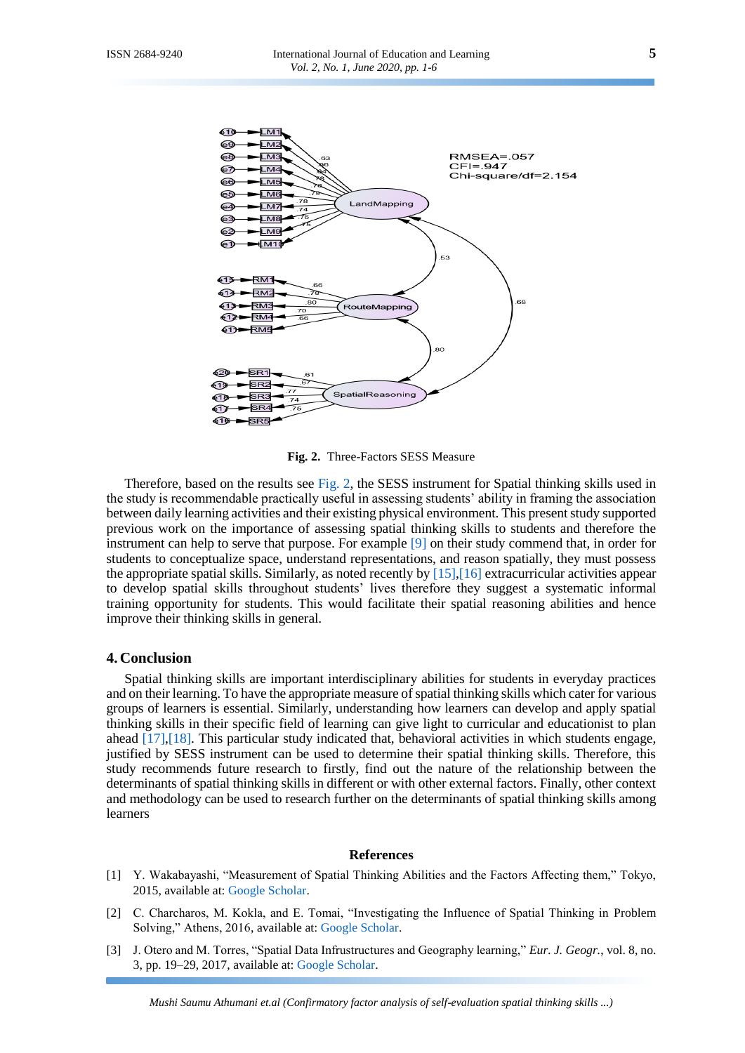

**Fig. 2.** Three-Factors SESS Measure

<span id="page-4-3"></span>Therefore, based on the results see [Fig. 2,](#page-4-3) the SESS instrument for Spatial thinking skills used in the study is recommendable practically useful in assessing students' ability in framing the association between daily learning activities and their existing physical environment. This present study supported previous work on the importance of assessing spatial thinking skills to students and therefore the instrument can help to serve that purpose. For example [\[9\]](#page-5-5) on their study commend that, in order for students to conceptualize space, understand representations, and reason spatially, they must possess the appropriate spatial skills. Similarly, as noted recently by [\[15\]](#page-5-11)[,\[16\]](#page-5-12) extracurricular activities appear to develop spatial skills throughout students' lives therefore they suggest a systematic informal training opportunity for students. This would facilitate their spatial reasoning abilities and hence improve their thinking skills in general.

#### **4. Conclusion**

Spatial thinking skills are important interdisciplinary abilities for students in everyday practices and on their learning. To have the appropriate measure of spatial thinking skills which cater for various groups of learners is essential. Similarly, understanding how learners can develop and apply spatial thinking skills in their specific field of learning can give light to curricular and educationist to plan ahead [\[17\]](#page-5-13)[,\[18\].](#page-5-14) This particular study indicated that, behavioral activities in which students engage, justified by SESS instrument can be used to determine their spatial thinking skills. Therefore, this study recommends future research to firstly, find out the nature of the relationship between the determinants of spatial thinking skills in different or with other external factors. Finally, other context and methodology can be used to research further on the determinants of spatial thinking skills among learners

#### **References**

- <span id="page-4-0"></span>[1] Y. Wakabayashi, "Measurement of Spatial Thinking Abilities and the Factors Affecting them," Tokyo, 2015, available at: [Google Scholar.](https://scholar.google.co.id/scholar?hl=en&as_sdt=0%2C5&q=Y.+Wakabayashi%2C+%E2%80%9CMeasurement+of+Spatial+Thinking+Abilities+and+the+Factors+Affecting+them&btnG=)
- <span id="page-4-1"></span>[2] C. Charcharos, M. Kokla, and E. Tomai, "Investigating the Influence of Spatial Thinking in Problem Solving," Athens, 2016, available at: [Google Scholar.](https://scholar.google.co.id/scholar?hl=en&as_sdt=0%2C5&q=C.+Charcharos%2C+M.+Kokla%2C+and+E.+Tomai%2C+%E2%80%9CInvestigating+the+Influence+of+Spatial+Thinking+in+Problem+Solving&btnG=)
- <span id="page-4-2"></span>[3] J. Otero and M. Torres, "Spatial Data Infrustructures and Geography learning," *Eur. J. Geogr.*, vol. 8, no. 3, pp. 19–29, 2017, available at: [Google Scholar.](https://scholar.google.co.id/scholar?hl=en&as_sdt=0%2C5&q=J.+Otero+and+M.+Torres%2C+%E2%80%9CSpatial+Data+Infrustructures+and+Geography+learning&btnG=)